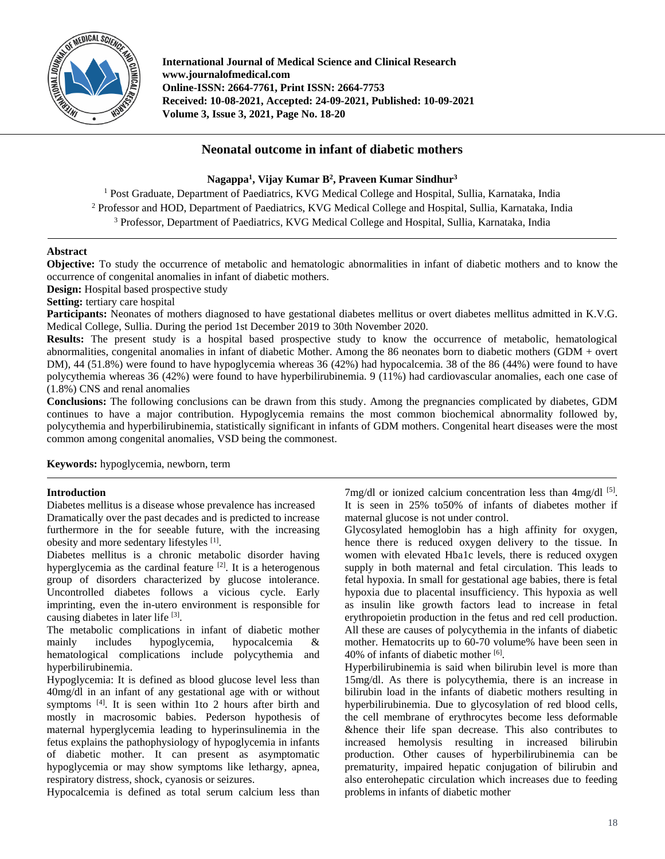

**International Journal of Medical Science and Clinical Research www.journalofmedical.com Online-ISSN: 2664-7761, Print ISSN: 2664-7753 Received: 10-08-2021, Accepted: 24-09-2021, Published: 10-09-2021 Volume 3, Issue 3, 2021, Page No. 18-20**

# **Neonatal outcome in infant of diabetic mothers**

# **Nagappa<sup>1</sup> , Vijay Kumar B 2 , Praveen Kumar Sindhur<sup>3</sup>**

<sup>1</sup> Post Graduate, Department of Paediatrics, KVG Medical College and Hospital, Sullia, Karnataka, India <sup>2</sup> Professor and HOD, Department of Paediatrics, KVG Medical College and Hospital, Sullia, Karnataka, India <sup>3</sup> Professor, Department of Paediatrics, KVG Medical College and Hospital, Sullia, Karnataka, India

# **Abstract**

**Objective:** To study the occurrence of metabolic and hematologic abnormalities in infant of diabetic mothers and to know the occurrence of congenital anomalies in infant of diabetic mothers.

**Design:** Hospital based prospective study

**Setting:** tertiary care hospital

Participants: Neonates of mothers diagnosed to have gestational diabetes mellitus or overt diabetes mellitus admitted in K.V.G. Medical College, Sullia. During the period 1st December 2019 to 30th November 2020.

**Results:** The present study is a hospital based prospective study to know the occurrence of metabolic, hematological abnormalities, congenital anomalies in infant of diabetic Mother. Among the 86 neonates born to diabetic mothers (GDM + overt DM), 44 (51.8%) were found to have hypoglycemia whereas 36 (42%) had hypocalcemia. 38 of the 86 (44%) were found to have polycythemia whereas 36 (42%) were found to have hyperbilirubinemia. 9 (11%) had cardiovascular anomalies, each one case of (1.8%) CNS and renal anomalies

**Conclusions:** The following conclusions can be drawn from this study. Among the pregnancies complicated by diabetes, GDM continues to have a major contribution. Hypoglycemia remains the most common biochemical abnormality followed by, polycythemia and hyperbilirubinemia, statistically significant in infants of GDM mothers. Congenital heart diseases were the most common among congenital anomalies, VSD being the commonest.

**Keywords:** hypoglycemia, newborn, term

## **Introduction**

Diabetes mellitus is a disease whose prevalence has increased Dramatically over the past decades and is predicted to increase furthermore in the for seeable future, with the increasing obesity and more sedentary lifestyles [1].

Diabetes mellitus is a chronic metabolic disorder having hyperglycemia as the cardinal feature  $[2]$ . It is a heterogenous group of disorders characterized by glucose intolerance. Uncontrolled diabetes follows a vicious cycle. Early imprinting, even the in-utero environment is responsible for causing diabetes in later life [3].

The metabolic complications in infant of diabetic mother mainly includes hypoglycemia, hypocalcemia & hematological complications include polycythemia and hyperbilirubinemia.

Hypoglycemia: It is defined as blood glucose level less than 40mg/dl in an infant of any gestational age with or without symptoms <sup>[4]</sup>. It is seen within 1to 2 hours after birth and mostly in macrosomic babies. Pederson hypothesis of maternal hyperglycemia leading to hyperinsulinemia in the fetus explains the pathophysiology of hypoglycemia in infants of diabetic mother. It can present as asymptomatic hypoglycemia or may show symptoms like lethargy, apnea, respiratory distress, shock, cyanosis or seizures.

Hypocalcemia is defined as total serum calcium less than

7mg/dl or ionized calcium concentration less than 4mg/dl [5]. It is seen in 25% to50% of infants of diabetes mother if maternal glucose is not under control.

Glycosylated hemoglobin has a high affinity for oxygen, hence there is reduced oxygen delivery to the tissue. In women with elevated Hba1c levels, there is reduced oxygen supply in both maternal and fetal circulation. This leads to fetal hypoxia. In small for gestational age babies, there is fetal hypoxia due to placental insufficiency. This hypoxia as well as insulin like growth factors lead to increase in fetal erythropoietin production in the fetus and red cell production. All these are causes of polycythemia in the infants of diabetic mother. Hematocrits up to 60-70 volume% have been seen in 40% of infants of diabetic mother [6].

Hyperbilirubinemia is said when bilirubin level is more than 15mg/dl. As there is polycythemia, there is an increase in bilirubin load in the infants of diabetic mothers resulting in hyperbilirubinemia. Due to glycosylation of red blood cells, the cell membrane of erythrocytes become less deformable &hence their life span decrease. This also contributes to increased hemolysis resulting in increased bilirubin production. Other causes of hyperbilirubinemia can be prematurity, impaired hepatic conjugation of bilirubin and also enterohepatic circulation which increases due to feeding problems in infants of diabetic mother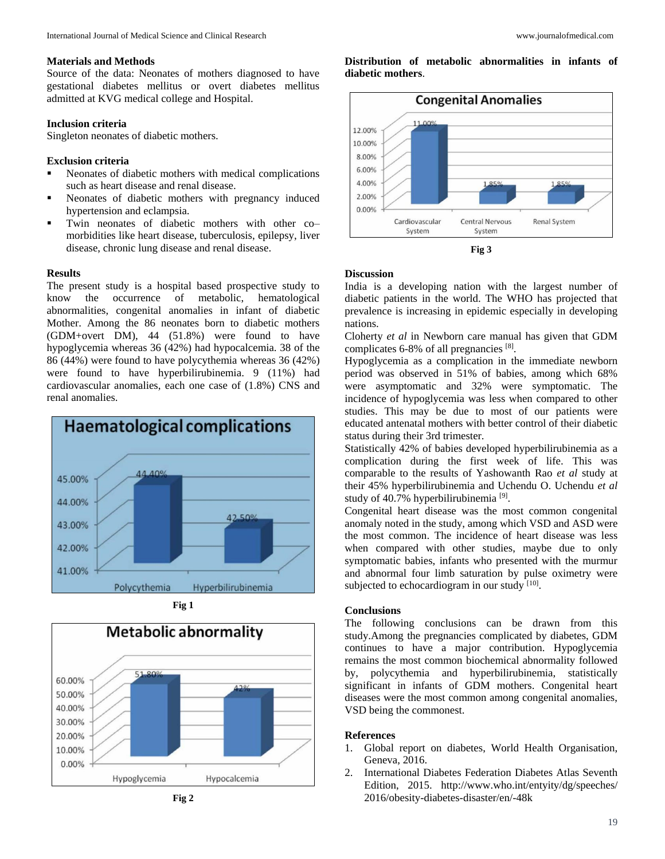### **Materials and Methods**

Source of the data: Neonates of mothers diagnosed to have gestational diabetes mellitus or overt diabetes mellitus admitted at KVG medical college and Hospital.

### **Inclusion criteria**

Singleton neonates of diabetic mothers.

## **Exclusion criteria**

- Neonates of diabetic mothers with medical complications such as heart disease and renal disease.
- Neonates of diabetic mothers with pregnancy induced hypertension and eclampsia.
- Twin neonates of diabetic mothers with other co– morbidities like heart disease, tuberculosis, epilepsy, liver disease, chronic lung disease and renal disease.

#### **Results**

The present study is a hospital based prospective study to know the occurrence of metabolic, hematological abnormalities, congenital anomalies in infant of diabetic Mother. Among the 86 neonates born to diabetic mothers (GDM+overt DM), 44 (51.8%) were found to have hypoglycemia whereas 36 (42%) had hypocalcemia. 38 of the 86 (44%) were found to have polycythemia whereas 36 (42%) were found to have hyperbilirubinemia. 9 (11%) had cardiovascular anomalies, each one case of (1.8%) CNS and renal anomalies.



**Fig 1**



**Distribution of metabolic abnormalities in infants of diabetic mothers**.





#### **Discussion**

India is a developing nation with the largest number of diabetic patients in the world. The WHO has projected that prevalence is increasing in epidemic especially in developing nations.

Cloherty *et al* in Newborn care manual has given that GDM complicates 6-8% of all pregnancies [8].

Hypoglycemia as a complication in the immediate newborn period was observed in 51% of babies, among which 68% were asymptomatic and 32% were symptomatic. The incidence of hypoglycemia was less when compared to other studies. This may be due to most of our patients were educated antenatal mothers with better control of their diabetic status during their 3rd trimester.

Statistically 42% of babies developed hyperbilirubinemia as a complication during the first week of life. This was comparable to the results of Yashowanth Rao *et al* study at their 45% hyperbilirubinemia and Uchendu O. Uchendu *et al* study of 40.7% hyperbilirubinemia<sup>[9]</sup>.

Congenital heart disease was the most common congenital anomaly noted in the study, among which VSD and ASD were the most common. The incidence of heart disease was less when compared with other studies, maybe due to only symptomatic babies, infants who presented with the murmur and abnormal four limb saturation by pulse oximetry were subjected to echocardiogram in our study  $[10]$ .

### **Conclusions**

The following conclusions can be drawn from this study.Among the pregnancies complicated by diabetes, GDM continues to have a major contribution. Hypoglycemia remains the most common biochemical abnormality followed by, polycythemia and hyperbilirubinemia, statistically significant in infants of GDM mothers. Congenital heart diseases were the most common among congenital anomalies, VSD being the commonest.

#### **References**

- 1. Global report on diabetes, World Health Organisation, Geneva, 2016.
- 2. International Diabetes Federation Diabetes Atlas Seventh Edition, 2015. http://www.who.int/entyity/dg/speeches/ 2016/obesity-diabetes-disaster/en/-48k